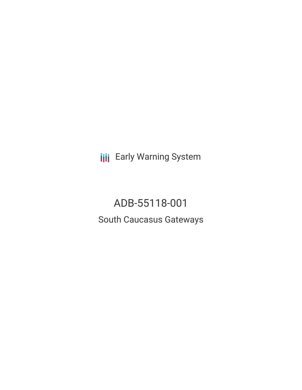**III** Early Warning System

ADB-55118-001 South Caucasus Gateways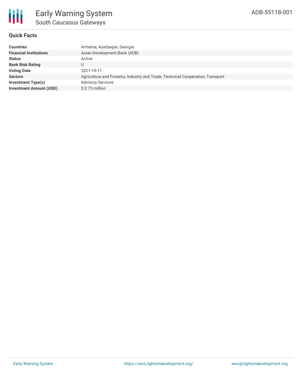### **Quick Facts**

| <b>Countries</b>               | Armenia, Azerbaijan, Georgia                                                   |
|--------------------------------|--------------------------------------------------------------------------------|
| <b>Financial Institutions</b>  | Asian Development Bank (ADB)                                                   |
| <b>Status</b>                  | Active                                                                         |
| <b>Bank Risk Rating</b>        | U                                                                              |
| <b>Voting Date</b>             | 2021-10-11                                                                     |
| <b>Sectors</b>                 | Agriculture and Forestry, Industry and Trade, Technical Cooperation, Transport |
| Investment Type(s)             | <b>Advisory Services</b>                                                       |
| <b>Investment Amount (USD)</b> | \$0.75 million                                                                 |
|                                |                                                                                |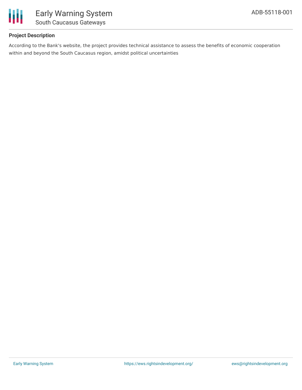

# **Project Description**

According to the Bank's website, the project provides technical assistance to assess the benefits of economic cooperation within and beyond the South Caucasus region, amidst political uncertainties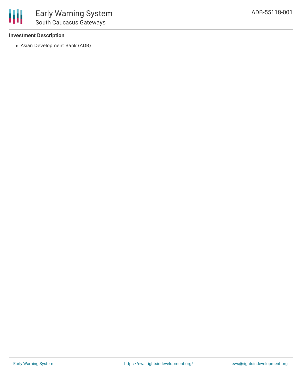## **Investment Description**

冊

Asian Development Bank (ADB)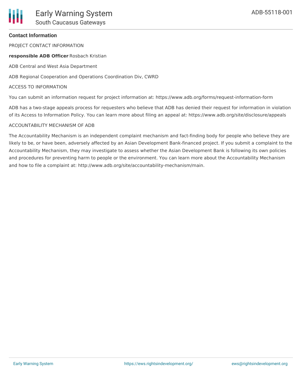### **Contact Information**

PROJECT CONTACT INFORMATION

**responsible ADB Officer** Rosbach Kristian

ADB Central and West Asia Department

ADB Regional Cooperation and Operations Coordination Div, CWRD

#### ACCESS TO INFORMATION

You can submit an information request for project information at: https://www.adb.org/forms/request-information-form

ADB has a two-stage appeals process for requesters who believe that ADB has denied their request for information in violation of its Access to Information Policy. You can learn more about filing an appeal at: https://www.adb.org/site/disclosure/appeals

### ACCOUNTABILITY MECHANISM OF ADB

The Accountability Mechanism is an independent complaint mechanism and fact-finding body for people who believe they are likely to be, or have been, adversely affected by an Asian Development Bank-financed project. If you submit a complaint to the Accountability Mechanism, they may investigate to assess whether the Asian Development Bank is following its own policies and procedures for preventing harm to people or the environment. You can learn more about the Accountability Mechanism and how to file a complaint at: http://www.adb.org/site/accountability-mechanism/main.